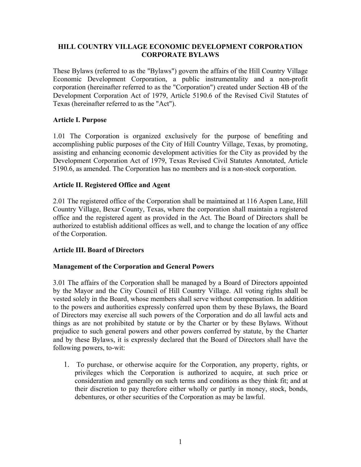# **HILL COUNTRY VILLAGE ECONOMIC DEVELOPMENT CORPORATION CORPORATE BYLAWS**

These Bylaws (referred to as the "Bylaws") govern the affairs of the Hill Country Village Economic Development Corporation, a public instrumentality and a non-profit corporation (hereinafter referred to as the "Corporation") created under Section 4B of the Development Corporation Act of 1979, Article 5190.6 of the Revised Civil Statutes of Texas (hereinafter referred to as the "Act").

# **Article I. Purpose**

1.01 The Corporation is organized exclusively for the purpose of benefiting and accomplishing public purposes of the City of Hill Country Village, Texas, by promoting, assisting and enhancing economic development activities for the City as provided by the Development Corporation Act of 1979, Texas Revised Civil Statutes Annotated, Article 5190.6, as amended. The Corporation has no members and is a non-stock corporation.

# **Article II. Registered Office and Agent**

2.01 The registered office of the Corporation shall be maintained at 116 Aspen Lane, Hill Country Village, Bexar County, Texas, where the corporation shall maintain a registered office and the registered agent as provided in the Act. The Board of Directors shall be authorized to establish additional offices as well, and to change the location of any office of the Corporation.

# **Article III. Board of Directors**

# **Management of the Corporation and General Powers**

3.01 The affairs of the Corporation shall be managed by a Board of Directors appointed by the Mayor and the City Council of Hill Country Village. All voting rights shall be vested solely in the Board, whose members shall serve without compensation. In addition to the powers and authorities expressly conferred upon them by these Bylaws, the Board of Directors may exercise all such powers of the Corporation and do all lawful acts and things as are not prohibited by statute or by the Charter or by these Bylaws. Without prejudice to such general powers and other powers conferred by statute, by the Charter and by these Bylaws, it is expressly declared that the Board of Directors shall have the following powers, to-wit:

1. To purchase, or otherwise acquire for the Corporation, any property, rights, or privileges which the Corporation is authorized to acquire, at such price or consideration and generally on such terms and conditions as they think fit; and at their discretion to pay therefore either wholly or partly in money, stock, bonds, debentures, or other securities of the Corporation as may be lawful.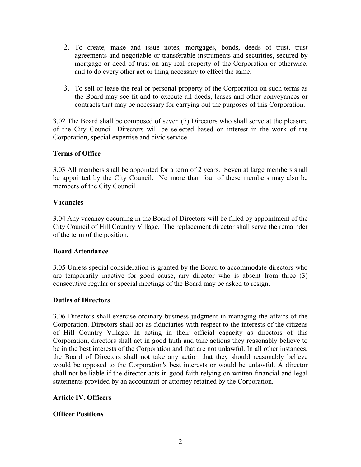- 2. To create, make and issue notes, mortgages, bonds, deeds of trust, trust agreements and negotiable or transferable instruments and securities, secured by mortgage or deed of trust on any real property of the Corporation or otherwise, and to do every other act or thing necessary to effect the same.
- 3. To sell or lease the real or personal property of the Corporation on such terms as the Board may see fit and to execute all deeds, leases and other conveyances or contracts that may be necessary for carrying out the purposes of this Corporation.

3.02 The Board shall be composed of seven (7) Directors who shall serve at the pleasure of the City Council. Directors will be selected based on interest in the work of the Corporation, special expertise and civic service.

# **Terms of Office**

3.03 All members shall be appointed for a term of 2 years. Seven at large members shall be appointed by the City Council. No more than four of these members may also be members of the City Council.

# **Vacancies**

3.04 Any vacancy occurring in the Board of Directors will be filled by appointment of the City Council of Hill Country Village. The replacement director shall serve the remainder of the term of the position.

# **Board Attendance**

3.05 Unless special consideration is granted by the Board to accommodate directors who are temporarily inactive for good cause, any director who is absent from three (3) consecutive regular or special meetings of the Board may be asked to resign.

# **Duties of Directors**

3.06 Directors shall exercise ordinary business judgment in managing the affairs of the Corporation. Directors shall act as fiduciaries with respect to the interests of the citizens of Hill Country Village. In acting in their official capacity as directors of this Corporation, directors shall act in good faith and take actions they reasonably believe to be in the best interests of the Corporation and that are not unlawful. In all other instances, the Board of Directors shall not take any action that they should reasonably believe would be opposed to the Corporation's best interests or would be unlawful. A director shall not be liable if the director acts in good faith relying on written financial and legal statements provided by an accountant or attorney retained by the Corporation.

# **Article IV. Officers**

# **Officer Positions**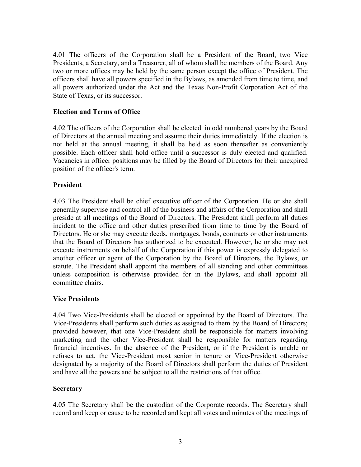4.01 The officers of the Corporation shall be a President of the Board, two Vice Presidents, a Secretary, and a Treasurer, all of whom shall be members of the Board. Any two or more offices may be held by the same person except the office of President. The officers shall have all powers specified in the Bylaws, as amended from time to time, and all powers authorized under the Act and the Texas Non-Profit Corporation Act of the State of Texas, or its successor.

#### **Election and Terms of Office**

4.02 The officers of the Corporation shall be elected in odd numbered years by the Board of Directors at the annual meeting and assume their duties immediately. If the election is not held at the annual meeting, it shall be held as soon thereafter as conveniently possible. Each officer shall hold office until a successor is duly elected and qualified. Vacancies in officer positions may be filled by the Board of Directors for their unexpired position of the officer's term.

#### **President**

4.03 The President shall be chief executive officer of the Corporation. He or she shall generally supervise and control all of the business and affairs of the Corporation and shall preside at all meetings of the Board of Directors. The President shall perform all duties incident to the office and other duties prescribed from time to time by the Board of Directors. He or she may execute deeds, mortgages, bonds, contracts or other instruments that the Board of Directors has authorized to be executed. However, he or she may not execute instruments on behalf of the Corporation if this power is expressly delegated to another officer or agent of the Corporation by the Board of Directors, the Bylaws, or statute. The President shall appoint the members of all standing and other committees unless composition is otherwise provided for in the Bylaws, and shall appoint all committee chairs.

#### **Vice Presidents**

4.04 Two Vice-Presidents shall be elected or appointed by the Board of Directors. The Vice-Presidents shall perform such duties as assigned to them by the Board of Directors; provided however, that one Vice-President shall be responsible for matters involving marketing and the other Vice-President shall be responsible for matters regarding financial incentives. In the absence of the President, or if the President is unable or refuses to act, the Vice-President most senior in tenure or Vice-President otherwise designated by a majority of the Board of Directors shall perform the duties of President and have all the powers and be subject to all the restrictions of that office.

# **Secretary**

4.05 The Secretary shall be the custodian of the Corporate records. The Secretary shall record and keep or cause to be recorded and kept all votes and minutes of the meetings of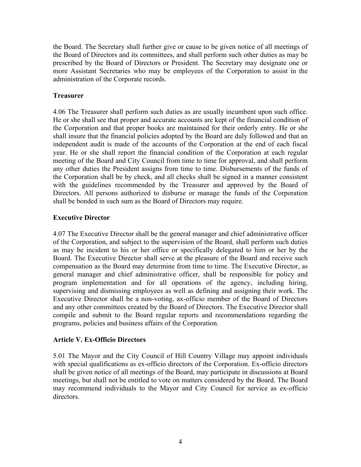the Board. The Secretary shall further give or cause to be given notice of all meetings of the Board of Directors and its committees, and shall perform such other duties as may be prescribed by the Board of Directors or President. The Secretary may designate one or more Assistant Secretaries who may be employees of the Corporation to assist in the administration of the Corporate records.

#### **Treasurer**

4.06 The Treasurer shall perform such duties as are usually incumbent upon such office. He or she shall see that proper and accurate accounts are kept of the financial condition of the Corporation and that proper books are maintained for their orderly entry. He or she shall insure that the financial policies adopted by the Board are duly followed and that an independent audit is made of the accounts of the Corporation at the end of each fiscal year. He or she shall report the financial condition of the Corporation at each regular meeting of the Board and City Council from time to time for approval, and shall perform any other duties the President assigns from time to time. Disbursements of the funds of the Corporation shall be by check, and all checks shall be signed in a manner consistent with the guidelines recommended by the Treasurer and approved by the Board of Directors. All persons authorized to disburse or manage the funds of the Corporation shall be bonded in such sum as the Board of Directors may require.

#### **Executive Director**

4.07 The Executive Director shall be the general manager and chief administrative officer of the Corporation, and subject to the supervision of the Board, shall perform such duties as may be incident to his or her office or specifically delegated to him or her by the Board. The Executive Director shall serve at the pleasure of the Board and receive such compensation as the Board may determine from time to time. The Executive Director, as general manager and chief administrative officer, shall be responsible for policy and program implementation and for all operations of the agency, including hiring, supervising and dismissing employees as well as defining and assigning their work. The Executive Director shall be a non-voting, ax-officio member of the Board of Directors and any other committees created by the Board of Directors. The Executive Director shall compile and submit to the Board regular reports and recommendations regarding the programs, policies and business affairs of the Corporation.

# **Article V. Ex-Officio Directors**

5.01 The Mayor and the City Council of Hill Country Village may appoint individuals with special qualifications as ex-officio directors of the Corporation. Ex-officio directors shall be given notice of all meetings of the Board, may participate in discussions at Board meetings, but shall not be entitled to vote on matters considered by the Board. The Board may recommend individuals to the Mayor and City Council for service as ex-officio directors.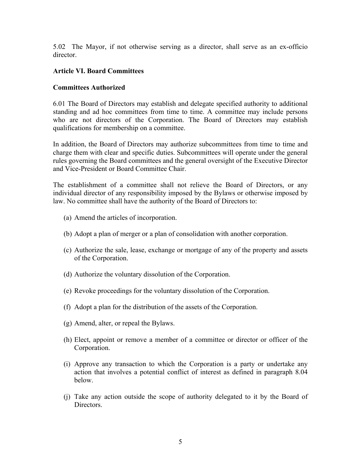5.02 The Mayor, if not otherwise serving as a director, shall serve as an ex-officio director.

#### **Article VI. Board Committees**

#### **Committees Authorized**

6.01 The Board of Directors may establish and delegate specified authority to additional standing and ad hoc committees from time to time. A committee may include persons who are not directors of the Corporation. The Board of Directors may establish qualifications for membership on a committee.

In addition, the Board of Directors may authorize subcommittees from time to time and charge them with clear and specific duties. Subcommittees will operate under the general rules governing the Board committees and the general oversight of the Executive Director and Vice-President or Board Committee Chair.

The establishment of a committee shall not relieve the Board of Directors, or any individual director of any responsibility imposed by the Bylaws or otherwise imposed by law. No committee shall have the authority of the Board of Directors to:

- (a) Amend the articles of incorporation.
- (b) Adopt a plan of merger or a plan of consolidation with another corporation.
- (c) Authorize the sale, lease, exchange or mortgage of any of the property and assets of the Corporation.
- (d) Authorize the voluntary dissolution of the Corporation.
- (e) Revoke proceedings for the voluntary dissolution of the Corporation.
- (f) Adopt a plan for the distribution of the assets of the Corporation.
- (g) Amend, alter, or repeal the Bylaws.
- (h) Elect, appoint or remove a member of a committee or director or officer of the Corporation.
- (i) Approve any transaction to which the Corporation is a party or undertake any action that involves a potential conflict of interest as defined in paragraph 8.04 below.
- (j) Take any action outside the scope of authority delegated to it by the Board of Directors.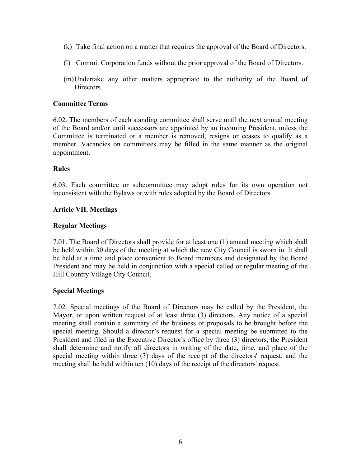- (k) Take final action on a matter that requires the approval of the Board of Directors.
- (l) Commit Corporation funds without the prior approval of the Board of Directors.
- (m)Undertake any other matters appropriate to the authority of the Board of Directors.

#### **Committee Terms**

6.02. The members of each standing committee shall serve until the next annual meeting of the Board and/or until successors are appointed by an incoming President, unless the Committee is terminated or a member is removed, resigns or ceases to qualify as a member. Vacancies on committees may be filled in the same manner as the original appointment.

#### **Rules**

6.03. Each committee or subcommittee may adopt rules for its own operation not inconsistent with the Bylaws or with rules adopted by the Board of Directors.

#### **Article VII. Meetings**

#### **Regular Meetings**

7.01. The Board of Directors shall provide for at least one (1) annual meeting which shall be held within 30 days of the meeting at which the new City Council is sworn in. It shall be held at a time and place convenient to Board members and designated by the Board President and may be held in conjunction with a special called or regular meeting of the Hill Country Village City Council.

#### **Special Meetings**

7.02. Special meetings of the Board of Directors may be called by the President, the Mayor, or upon written request of at least three (3) directors. Any notice of a special meeting shall contain a summary of the business or proposals to be brought before the special meeting. Should a director's request for a special meeting be submitted to the President and filed in the Executive Director's office by three (3) directors, the President shall determine and notify all directors in writing of the date, time, and place of the special meeting within three (3) days of the receipt of the directors' request, and the meeting shall be held within ten (10) days of the receipt of the directors' request.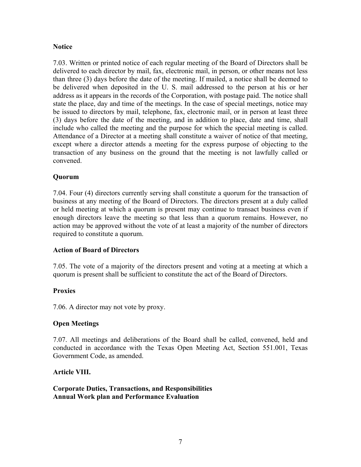# **Notice**

7.03. Written or printed notice of each regular meeting of the Board of Directors shall be delivered to each director by mail, fax, electronic mail, in person, or other means not less than three (3) days before the date of the meeting. If mailed, a notice shall be deemed to be delivered when deposited in the U. S. mail addressed to the person at his or her address as it appears in the records of the Corporation, with postage paid. The notice shall state the place, day and time of the meetings. In the case of special meetings, notice may be issued to directors by mail, telephone, fax, electronic mail, or in person at least three (3) days before the date of the meeting, and in addition to place, date and time, shall include who called the meeting and the purpose for which the special meeting is called. Attendance of a Director at a meeting shall constitute a waiver of notice of that meeting, except where a director attends a meeting for the express purpose of objecting to the transaction of any business on the ground that the meeting is not lawfully called or convened.

# **Quorum**

7.04. Four (4) directors currently serving shall constitute a quorum for the transaction of business at any meeting of the Board of Directors. The directors present at a duly called or held meeting at which a quorum is present may continue to transact business even if enough directors leave the meeting so that less than a quorum remains. However, no action may be approved without the vote of at least a majority of the number of directors required to constitute a quorum.

# **Action of Board of Directors**

7.05. The vote of a majority of the directors present and voting at a meeting at which a quorum is present shall be sufficient to constitute the act of the Board of Directors.

# **Proxies**

7.06. A director may not vote by proxy.

# **Open Meetings**

7.07. All meetings and deliberations of the Board shall be called, convened, held and conducted in accordance with the Texas Open Meeting Act, Section 551.001, Texas Government Code, as amended.

# **Article VIII.**

**Corporate Duties, Transactions, and Responsibilities Annual Work plan and Performance Evaluation**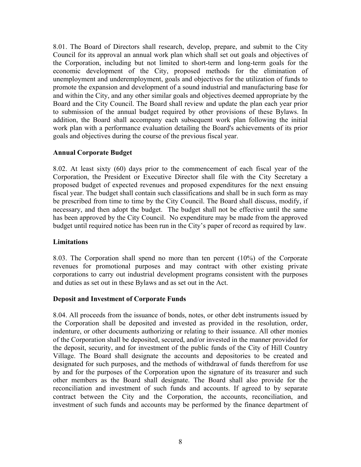8.01. The Board of Directors shall research, develop, prepare, and submit to the City Council for its approval an annual work plan which shall set out goals and objectives of the Corporation, including but not limited to short-term and long-term goals for the economic development of the City, proposed methods for the elimination of unemployment and underemployment, goals and objectives for the utilization of funds to promote the expansion and development of a sound industrial and manufacturing base for and within the City, and any other similar goals and objectives deemed appropriate by the Board and the City Council. The Board shall review and update the plan each year prior to submission of the annual budget required by other provisions of these Bylaws. In addition, the Board shall accompany each subsequent work plan following the initial work plan with a performance evaluation detailing the Board's achievements of its prior goals and objectives during the course of the previous fiscal year.

#### **Annual Corporate Budget**

8.02. At least sixty (60) days prior to the commencement of each fiscal year of the Corporation, the President or Executive Director shall file with the City Secretary a proposed budget of expected revenues and proposed expenditures for the next ensuing fiscal year. The budget shall contain such classifications and shall be in such form as may be prescribed from time to time by the City Council. The Board shall discuss, modify, if necessary, and then adopt the budget. The budget shall not be effective until the same has been approved by the City Council. No expenditure may be made from the approved budget until required notice has been run in the City's paper of record as required by law.

#### **Limitations**

8.03. The Corporation shall spend no more than ten percent (10%) of the Corporate revenues for promotional purposes and may contract with other existing private corporations to carry out industrial development programs consistent with the purposes and duties as set out in these Bylaws and as set out in the Act.

# **Deposit and Investment of Corporate Funds**

8.04. All proceeds from the issuance of bonds, notes, or other debt instruments issued by the Corporation shall be deposited and invested as provided in the resolution, order, indenture, or other documents authorizing or relating to their issuance. All other monies of the Corporation shall be deposited, secured, and/or invested in the manner provided for the deposit, security, and for investment of the public funds of the City of Hill Country Village. The Board shall designate the accounts and depositories to be created and designated for such purposes, and the methods of withdrawal of funds therefrom for use by and for the purposes of the Corporation upon the signature of its treasurer and such other members as the Board shall designate. The Board shall also provide for the reconciliation and investment of such funds and accounts. If agreed to by separate contract between the City and the Corporation, the accounts, reconciliation, and investment of such funds and accounts may be performed by the finance department of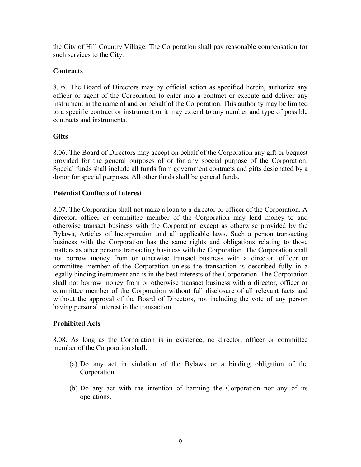the City of Hill Country Village. The Corporation shall pay reasonable compensation for such services to the City.

# **Contracts**

8.05. The Board of Directors may by official action as specified herein, authorize any officer or agent of the Corporation to enter into a contract or execute and deliver any instrument in the name of and on behalf of the Corporation. This authority may be limited to a specific contract or instrument or it may extend to any number and type of possible contracts and instruments.

# **Gifts**

8.06. The Board of Directors may accept on behalf of the Corporation any gift or bequest provided for the general purposes of or for any special purpose of the Corporation. Special funds shall include all funds from government contracts and gifts designated by a donor for special purposes. All other funds shall be general funds.

# **Potential Conflicts of Interest**

8.07. The Corporation shall not make a loan to a director or officer of the Corporation. A director, officer or committee member of the Corporation may lend money to and otherwise transact business with the Corporation except as otherwise provided by the Bylaws, Articles of Incorporation and all applicable laws. Such a person transacting business with the Corporation has the same rights and obligations relating to those matters as other persons transacting business with the Corporation. The Corporation shall not borrow money from or otherwise transact business with a director, officer or committee member of the Corporation unless the transaction is described fully in a legally binding instrument and is in the best interests of the Corporation. The Corporation shall not borrow money from or otherwise transact business with a director, officer or committee member of the Corporation without full disclosure of all relevant facts and without the approval of the Board of Directors, not including the vote of any person having personal interest in the transaction.

# **Prohibited Acts**

8.08. As long as the Corporation is in existence, no director, officer or committee member of the Corporation shall:

- (a) Do any act in violation of the Bylaws or a binding obligation of the Corporation.
- (b) Do any act with the intention of harming the Corporation nor any of its operations.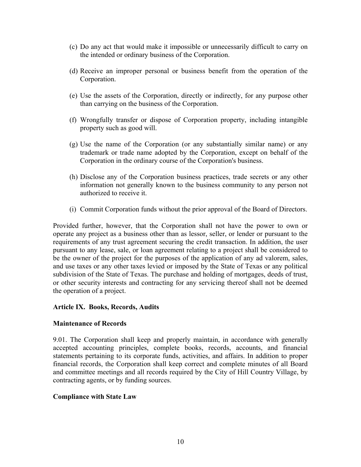- (c) Do any act that would make it impossible or unnecessarily difficult to carry on the intended or ordinary business of the Corporation.
- (d) Receive an improper personal or business benefit from the operation of the Corporation.
- (e) Use the assets of the Corporation, directly or indirectly, for any purpose other than carrying on the business of the Corporation.
- (f) Wrongfully transfer or dispose of Corporation property, including intangible property such as good will.
- (g) Use the name of the Corporation (or any substantially similar name) or any trademark or trade name adopted by the Corporation, except on behalf of the Corporation in the ordinary course of the Corporation's business.
- (h) Disclose any of the Corporation business practices, trade secrets or any other information not generally known to the business community to any person not authorized to receive it.
- (i) Commit Corporation funds without the prior approval of the Board of Directors.

Provided further, however, that the Corporation shall not have the power to own or operate any project as a business other than as lessor, seller, or lender or pursuant to the requirements of any trust agreement securing the credit transaction. In addition, the user pursuant to any lease, sale, or loan agreement relating to a project shall be considered to be the owner of the project for the purposes of the application of any ad valorem, sales, and use taxes or any other taxes levied or imposed by the State of Texas or any political subdivision of the State of Texas. The purchase and holding of mortgages, deeds of trust, or other security interests and contracting for any servicing thereof shall not be deemed the operation of a project.

#### **Article IX. Books, Records, Audits**

#### **Maintenance of Records**

9.01. The Corporation shall keep and properly maintain, in accordance with generally accepted accounting principles, complete books, records, accounts, and financial statements pertaining to its corporate funds, activities, and affairs. In addition to proper financial records, the Corporation shall keep correct and complete minutes of all Board and committee meetings and all records required by the City of Hill Country Village, by contracting agents, or by funding sources.

#### **Compliance with State Law**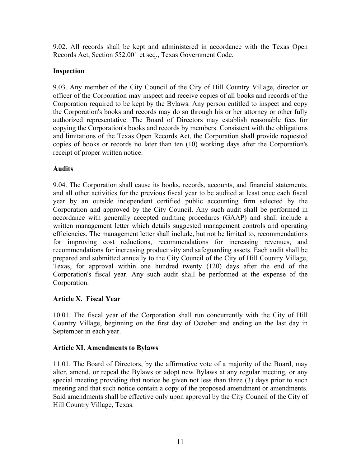9.02. All records shall be kept and administered in accordance with the Texas Open Records Act, Section 552.001 et seq., Texas Government Code.

# **Inspection**

9.03. Any member of the City Council of the City of Hill Country Village, director or officer of the Corporation may inspect and receive copies of all books and records of the Corporation required to be kept by the Bylaws. Any person entitled to inspect and copy the Corporation's books and records may do so through his or her attorney or other fully authorized representative. The Board of Directors may establish reasonable fees for copying the Corporation's books and records by members. Consistent with the obligations and limitations of the Texas Open Records Act, the Corporation shall provide requested copies of books or records no later than ten (10) working days after the Corporation's receipt of proper written notice.

# **Audits**

9.04. The Corporation shall cause its books, records, accounts, and financial statements, and all other activities for the previous fiscal year to be audited at least once each fiscal year by an outside independent certified public accounting firm selected by the Corporation and approved by the City Council. Any such audit shall be performed in accordance with generally accepted auditing procedures (GAAP) and shall include a written management letter which details suggested management controls and operating efficiencies. The management letter shall include, but not be limited to, recommendations for improving cost reductions, recommendations for increasing revenues, and recommendations for increasing productivity and safeguarding assets. Each audit shall be prepared and submitted annually to the City Council of the City of Hill Country Village, Texas, for approval within one hundred twenty (120) days after the end of the Corporation's fiscal year. Any such audit shall be performed at the expense of the Corporation.

# **Article X. Fiscal Year**

10.01. The fiscal year of the Corporation shall run concurrently with the City of Hill Country Village, beginning on the first day of October and ending on the last day in September in each year.

# **Article XI. Amendments to Bylaws**

11.01. The Board of Directors, by the affirmative vote of a majority of the Board, may alter, amend, or repeal the Bylaws or adopt new Bylaws at any regular meeting, or any special meeting providing that notice be given not less than three (3) days prior to such meeting and that such notice contain a copy of the proposed amendment or amendments. Said amendments shall be effective only upon approval by the City Council of the City of Hill Country Village, Texas.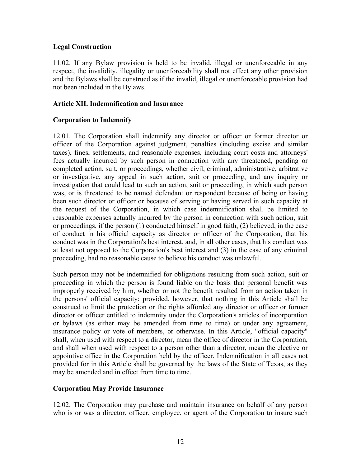# **Legal Construction**

11.02. If any Bylaw provision is held to be invalid, illegal or unenforceable in any respect, the invalidity, illegality or unenforceability shall not effect any other provision and the Bylaws shall be construed as if the invalid, illegal or unenforceable provision had not been included in the Bylaws.

# **Article XII. Indemnification and Insurance**

# **Corporation to Indemnify**

12.01. The Corporation shall indemnify any director or officer or former director or officer of the Corporation against judgment, penalties (including excise and similar taxes), fines, settlements, and reasonable expenses, including court costs and attorneys' fees actually incurred by such person in connection with any threatened, pending or completed action, suit, or proceedings, whether civil, criminal, administrative, arbitrative or investigative, any appeal in such action, suit or proceeding, and any inquiry or investigation that could lead to such an action, suit or proceeding, in which such person was, or is threatened to be named defendant or respondent because of being or having been such director or officer or because of serving or having served in such capacity at the request of the Corporation, in which case indemnification shall be limited to reasonable expenses actually incurred by the person in connection with such action, suit or proceedings, if the person (1) conducted himself in good faith, (2) believed, in the case of conduct in his official capacity as director or officer of the Corporation, that his conduct was in the Corporation's best interest, and, in all other cases, that his conduct was at least not opposed to the Corporation's best interest and (3) in the case of any criminal proceeding, had no reasonable cause to believe his conduct was unlawful.

Such person may not be indemnified for obligations resulting from such action, suit or proceeding in which the person is found liable on the basis that personal benefit was improperly received by him, whether or not the benefit resulted from an action taken in the persons' official capacity; provided, however, that nothing in this Article shall be construed to limit the protection or the rights afforded any director or officer or former director or officer entitled to indemnity under the Corporation's articles of incorporation or bylaws (as either may be amended from time to time) or under any agreement, insurance policy or vote of members, or otherwise. In this Article, "official capacity" shall, when used with respect to a director, mean the office of director in the Corporation, and shall when used with respect to a person other than a director, mean the elective or appointive office in the Corporation held by the officer. Indemnification in all cases not provided for in this Article shall be governed by the laws of the State of Texas, as they may be amended and in effect from time to time.

# **Corporation May Provide Insurance**

12.02. The Corporation may purchase and maintain insurance on behalf of any person who is or was a director, officer, employee, or agent of the Corporation to insure such